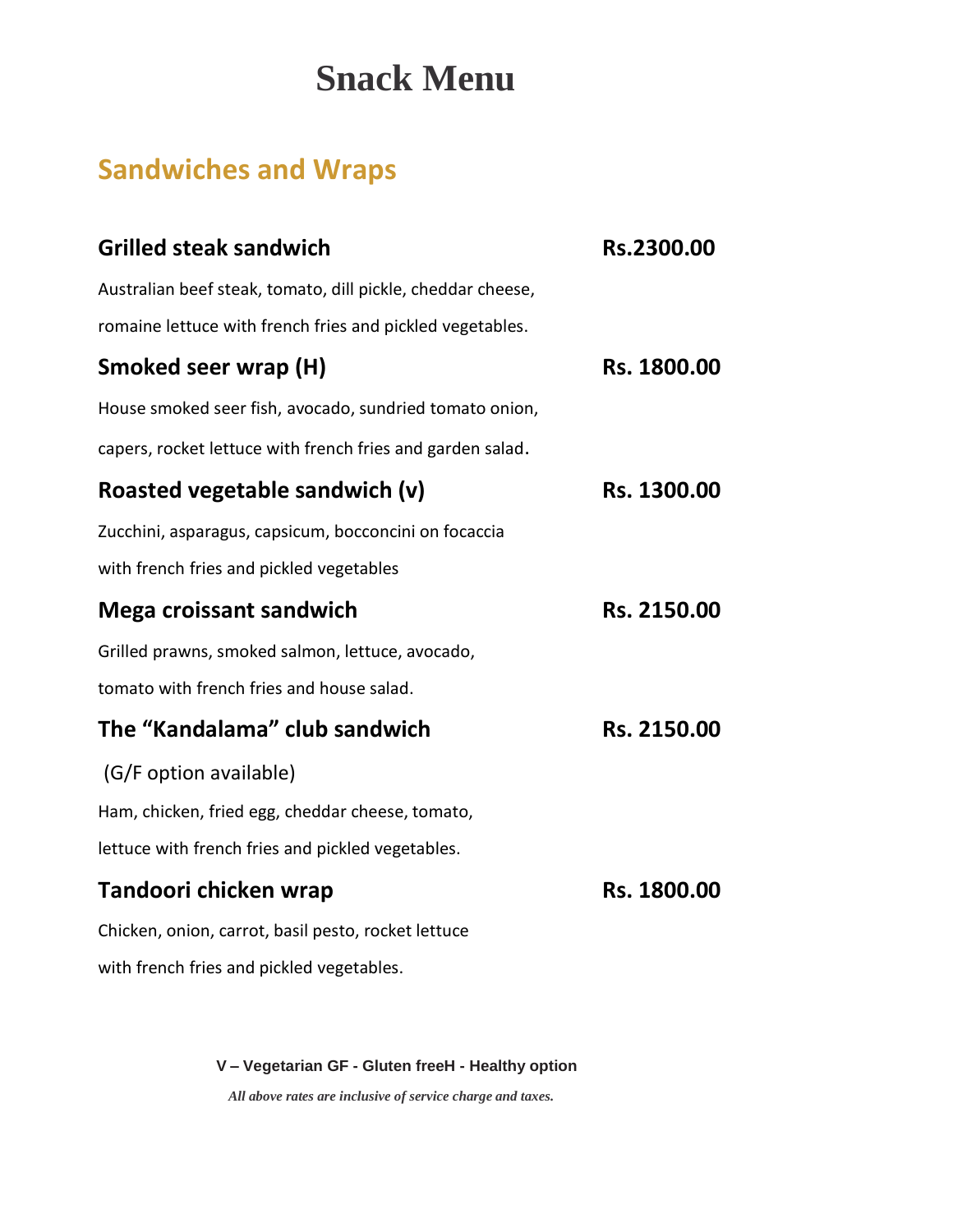# **Snack Menu**

## **Sandwiches and Wraps**

| Rs.2300.00  |
|-------------|
|             |
|             |
| Rs. 1800.00 |
|             |
|             |
| Rs. 1300.00 |
|             |
|             |
| Rs. 2150.00 |
|             |
|             |
| Rs. 2150.00 |
|             |
|             |
|             |
| Rs. 1800.00 |
|             |
|             |
|             |

 **V – Vegetarian GF - Gluten freeH - Healthy option**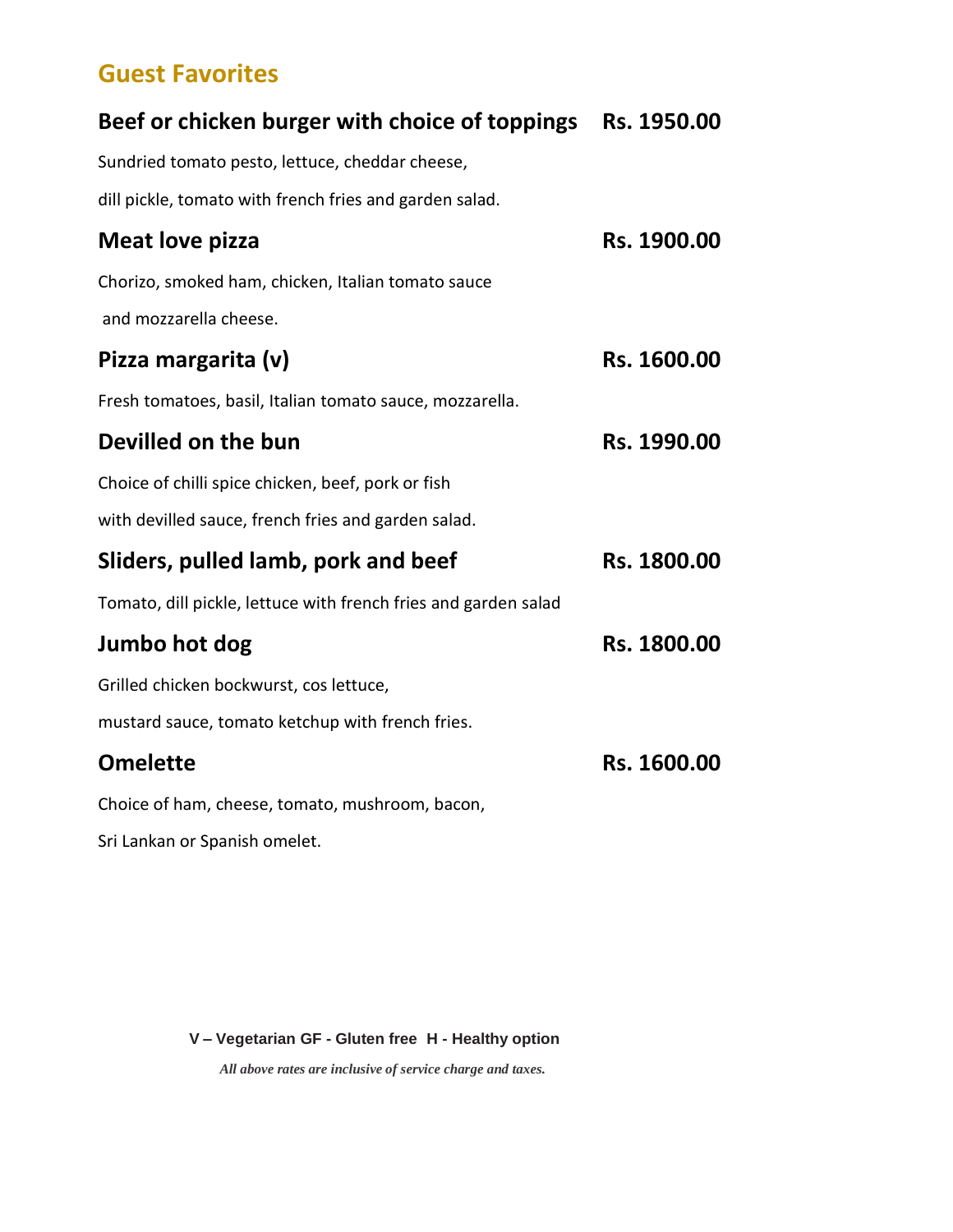#### **Guest Favorites**

### **Beef or chicken burger with choice of toppings Rs. 1950.00**

Sundried tomato pesto, lettuce, cheddar cheese,

dill pickle, tomato with french fries and garden salad.

| <b>Meat love pizza</b>                                          | Rs. 1900.00 |
|-----------------------------------------------------------------|-------------|
| Chorizo, smoked ham, chicken, Italian tomato sauce              |             |
| and mozzarella cheese.                                          |             |
| Pizza margarita (v)                                             | Rs. 1600.00 |
| Fresh tomatoes, basil, Italian tomato sauce, mozzarella.        |             |
| Devilled on the bun                                             | Rs. 1990.00 |
| Choice of chilli spice chicken, beef, pork or fish              |             |
| with devilled sauce, french fries and garden salad.             |             |
| Sliders, pulled lamb, pork and beef                             | Rs. 1800.00 |
| Tomato, dill pickle, lettuce with french fries and garden salad |             |
| Jumbo hot dog                                                   | Rs. 1800.00 |
| Grilled chicken bockwurst, cos lettuce,                         |             |
| mustard sauce, tomato ketchup with french fries.                |             |
| <b>Omelette</b>                                                 | Rs. 1600.00 |
| Choice of ham, cheese, tomato, mushroom, bacon,                 |             |
| Sri Lankan or Spanish omelet.                                   |             |

**V – Vegetarian GF - Gluten free H - Healthy option**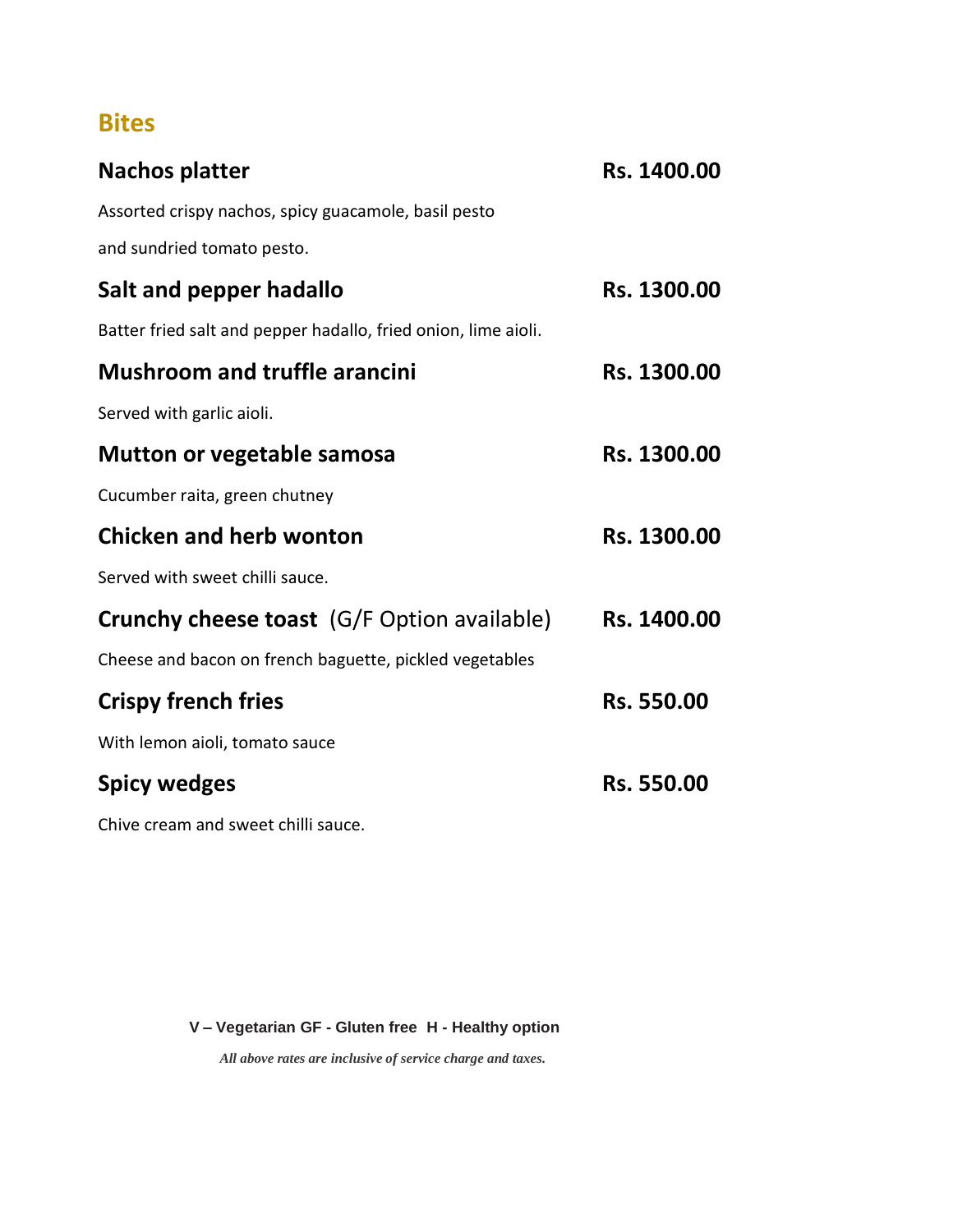#### **Bites**

| <b>Nachos platter</b>                                          | Rs. 1400.00       |
|----------------------------------------------------------------|-------------------|
| Assorted crispy nachos, spicy guacamole, basil pesto           |                   |
| and sundried tomato pesto.                                     |                   |
| Salt and pepper hadallo                                        | Rs. 1300.00       |
| Batter fried salt and pepper hadallo, fried onion, lime aioli. |                   |
| <b>Mushroom and truffle arancini</b>                           | Rs. 1300.00       |
| Served with garlic aioli.                                      |                   |
| <b>Mutton or vegetable samosa</b>                              | Rs. 1300.00       |
| Cucumber raita, green chutney                                  |                   |
| <b>Chicken and herb wonton</b>                                 | Rs. 1300.00       |
| Served with sweet chilli sauce.                                |                   |
| <b>Crunchy cheese toast</b> (G/F Option available)             | Rs. 1400.00       |
| Cheese and bacon on french baguette, pickled vegetables        |                   |
| <b>Crispy french fries</b>                                     | Rs. 550.00        |
| With lemon aioli, tomato sauce                                 |                   |
| <b>Spicy wedges</b>                                            | <b>Rs. 550.00</b> |
| $\sim$ $\sim$                                                  |                   |

Chive cream and sweet chilli sauce.

#### **V – Vegetarian GF - Gluten free H - Healthy option**